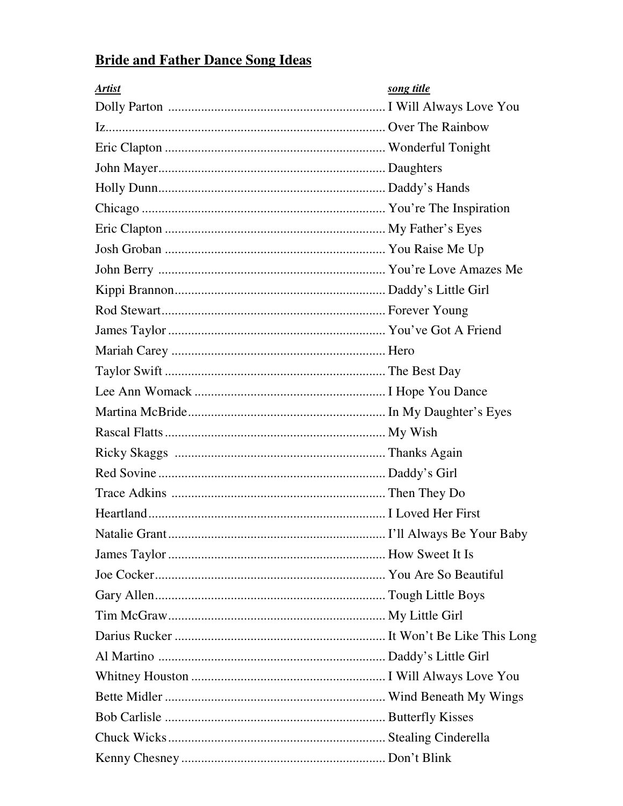## **Bride and Father Dance Song Ideas**

| <b>Artist</b> | song title |
|---------------|------------|
|               |            |
|               |            |
|               |            |
|               |            |
|               |            |
|               |            |
|               |            |
|               |            |
|               |            |
|               |            |
|               |            |
|               |            |
|               |            |
|               |            |
|               |            |
|               |            |
|               |            |
|               |            |
|               |            |
|               |            |
|               |            |
|               |            |
|               |            |
|               |            |
|               |            |
|               |            |
|               |            |
|               |            |
|               |            |
|               |            |
|               |            |
|               |            |
|               |            |